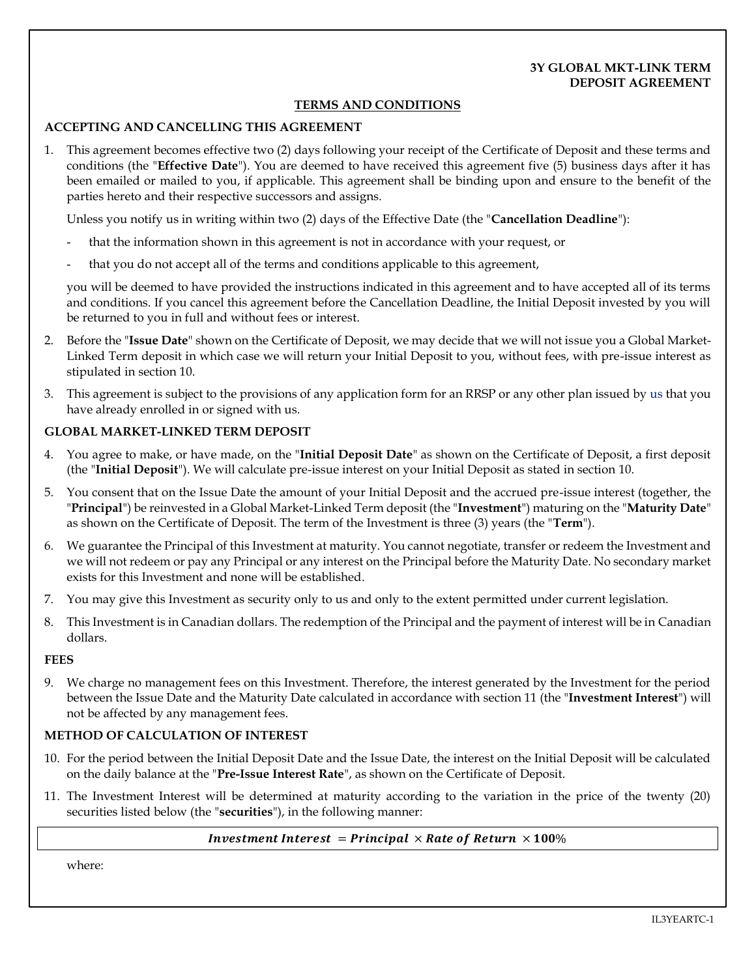## **3Y GLOBAL MKT-LINK TERM DEPOSIT AGREEMENT**

## **TERMS AND CONDITIONS**

#### **ACCEPTING AND CANCELLING THIS AGREEMENT**

1. This agreement becomes effective two (2) days following your receipt of the Certificate of Deposit and these terms and conditions (the "**Effective Date**"). You are deemed to have received this agreement five (5) business days after it has been emailed or mailed to you, if applicable. This agreement shall be binding upon and ensure to the benefit of the parties hereto and their respective successors and assigns.

Unless you notify us in writing within two (2) days of the Effective Date (the "**Cancellation Deadline**"):

- that the information shown in this agreement is not in accordance with your request, or
- that you do not accept all of the terms and conditions applicable to this agreement,

you will be deemed to have provided the instructions indicated in this agreement and to have accepted all of its terms and conditions. If you cancel this agreement before the Cancellation Deadline, the Initial Deposit invested by you will be returned to you in full and without fees or interest.

- 2. Before the "**Issue Date**" shown on the Certificate of Deposit, we may decide that we will not issue you a Global Market-Linked Term deposit in which case we will return your Initial Deposit to you, without fees, with pre-issue interest as stipulated in sectio[n 10.](#page-0-0)
- 3. This agreement is subject to the provisions of any application form for an RRSP or any other plan issued by us that you have already enrolled in or signed with us.

## **GLOBAL MARKET-LINKED TERM DEPOSIT**

- 4. You agree to make, or have made, on the "**Initial Deposit Date**" as shown on the Certificate of Deposit, a first deposit (the "**Initial Deposit**"). We will calculate pre-issue interest on your Initial Deposit as stated in section [10.](#page-0-0)
- 5. You consent that on the Issue Date the amount of your Initial Deposit and the accrued pre-issue interest (together, the "**Principal**") be reinvested in a Global Market-Linked Term deposit (the "**Investment**") maturing on the "**Maturity Date**" as shown on the Certificate of Deposit. The term of the Investment is three (3) years (the "**Term**").
- 6. We guarantee the Principal of this Investment at maturity. You cannot negotiate, transfer or redeem the Investment and we will not redeem or pay any Principal or any interest on the Principal before the Maturity Date. No secondary market exists for this Investment and none will be established.
- 7. You may give this Investment as security only to us and only to the extent permitted under current legislation.
- 8. This Investment is in Canadian dollars. The redemption of the Principal and the payment of interest will be in Canadian dollars.

#### **FEES**

9. We charge no management fees on this Investment. Therefore, the interest generated by the Investment for the period between the Issue Date and the Maturity Date calculated in accordance with section 11 (the "**Investment Interest**") will not be affected by any management fees.

#### **METHOD OF CALCULATION OF INTEREST**

- <span id="page-0-0"></span>10. For the period between the Initial Deposit Date and the Issue Date, the interest on the Initial Deposit will be calculated on the daily balance at the "**Pre-Issue Interest Rate**", as shown on the Certificate of Deposit.
- <span id="page-0-1"></span>11. The Investment Interest will be determined at maturity according to the variation in the price of the twenty (20) securities listed below (the "**securities**"), in the following manner:

#### *Investment Interest = Principal*  $\times$  *Rate of Return*  $\times$  *100%*

where: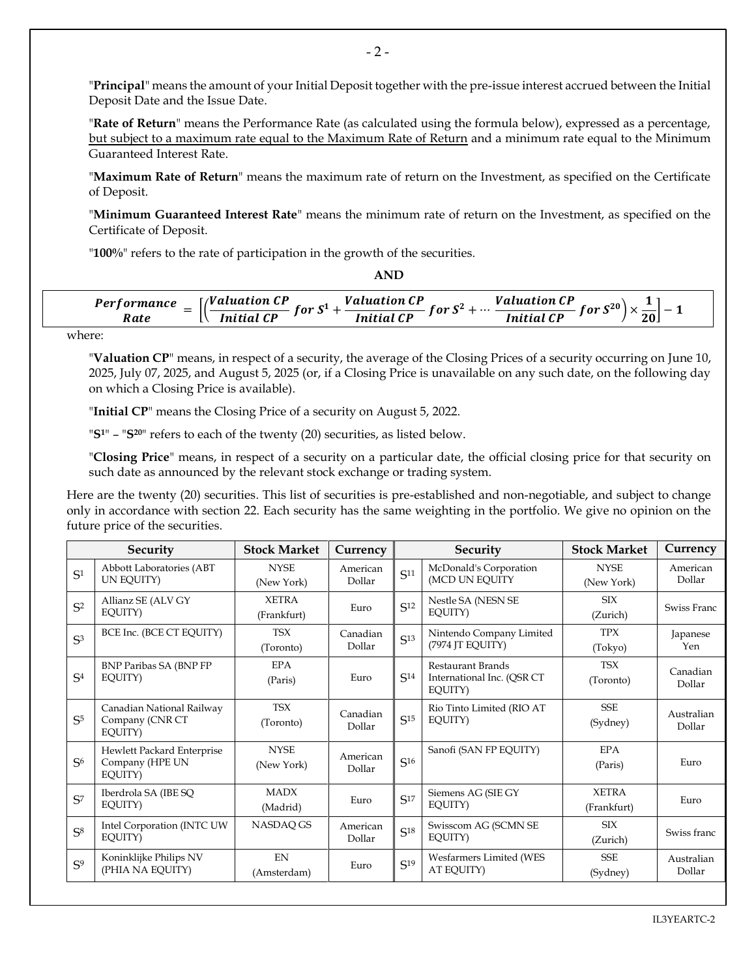"**Principal**" means the amount of your Initial Deposit together with the pre-issue interest accrued between the Initial Deposit Date and the Issue Date.

"**Rate of Return**" means the Performance Rate (as calculated using the formula below), expressed as a percentage, but subject to a maximum rate equal to the Maximum Rate of Return and a minimum rate equal to the Minimum Guaranteed Interest Rate.

"**Maximum Rate of Return**" means the maximum rate of return on the Investment, as specified on the Certificate of Deposit.

"**Minimum Guaranteed Interest Rate**" means the minimum rate of return on the Investment, as specified on the Certificate of Deposit.

"**100%**" refers to the rate of participation in the growth of the securities.

Performance  $= \left[\left(\frac{Valuation \; CP}{Initial \; CP} \; for \; S^1 + \frac{Valuation \; CP}{Initial \; CP} \; for \; S^2 + \cdots \; \frac{Valuation \; CP}{Initial \; CP} \; for \; S^{20}\right) \times \frac{1}{20}\right] - 1$ 

**AND**

where:

"**Valuation CP**" means, in respect of a security, the average of the Closing Prices of a security occurring on June 10, 2025, July 07, 2025, and August 5, 2025 (or, if a Closing Price is unavailable on any such date, on the following day on which a Closing Price is available).

"**Initial CP**" means the Closing Price of a security on August 5, 2022.

"**S1**" – "**S20**" refers to each of the twenty (20) securities, as listed below.

"**Closing Price**" means, in respect of a security on a particular date, the official closing price for that security on such date as announced by the relevant stock exchange or trading system.

Here are the twenty (20) securities. This list of securities is pre-established and non-negotiable, and subject to change only in accordance with section [22.](#page-3-0) Each security has the same weighting in the portfolio. We give no opinion on the future price of the securities.

| Security       |                                                          | <b>Stock Market</b>         | Currency           | Security        |                                                            | <b>Stock Market</b>         | Currency             |
|----------------|----------------------------------------------------------|-----------------------------|--------------------|-----------------|------------------------------------------------------------|-----------------------------|----------------------|
| S <sup>1</sup> | Abbott Laboratories (ABT<br>UN EOUITY)                   | <b>NYSE</b><br>(New York)   | American<br>Dollar | S <sup>11</sup> | McDonald's Corporation<br>(MCD UN EQUITY                   | <b>NYSE</b><br>(New York)   | American<br>Dollar   |
| $S^2$          | Allianz SE (ALV GY<br>EQUITY)                            | <b>XETRA</b><br>(Frankfurt) | Euro               | S <sup>12</sup> | Nestle SA (NESN SE<br>EQUITY)                              | <b>SIX</b><br>(Zurich)      | Swiss Franc          |
| S <sup>3</sup> | BCE Inc. (BCE CT EQUITY)                                 | <b>TSX</b><br>(Toronto)     | Canadian<br>Dollar | S <sup>13</sup> | Nintendo Company Limited<br>(7974 JT EQUITY)               | <b>TPX</b><br>(Tokyo)       | Japanese<br>Yen      |
| S <sub>4</sub> | <b>BNP Paribas SA (BNP FP)</b><br>EOUITY)                | <b>EPA</b><br>(Paris)       | Euro               | S <sup>14</sup> | Restaurant Brands<br>International Inc. (QSR CT<br>EQUITY) | <b>TSX</b><br>(Toronto)     | Canadian<br>Dollar   |
| S <sup>5</sup> | Canadian National Railway<br>Company (CNR CT<br>EQUITY)  | <b>TSX</b><br>(Toronto)     | Canadian<br>Dollar | S <sup>15</sup> | Rio Tinto Limited (RIO AT<br>EOUITY)                       | <b>SSE</b><br>(Sydney)      | Australian<br>Dollar |
| S <sub>6</sub> | Hewlett Packard Enterprise<br>Company (HPE UN<br>EQUITY) | <b>NYSE</b><br>(New York)   | American<br>Dollar | S <sup>16</sup> | Sanofi (SAN FP EQUITY)                                     | EPA<br>(Paris)              | Euro                 |
| $S^7$          | Iberdrola SA (IBE SQ<br>EQUITY)                          | <b>MADX</b><br>(Madrid)     | Euro               | S <sub>17</sub> | Siemens AG (SIE GY<br>EQUITY)                              | <b>XETRA</b><br>(Frankfurt) | Euro                 |
| S <sub>8</sub> | Intel Corporation (INTC UW<br>EQUITY)                    | NASDAQ GS                   | American<br>Dollar | S <sub>18</sub> | Swisscom AG (SCMN SE<br>EOUITY)                            | <b>SIX</b><br>(Zurich)      | Swiss franc          |
| S <sup>9</sup> | Koninklijke Philips NV<br>(PHIA NA EQUITY)               | <b>FN</b><br>(Amsterdam)    | Euro               | S <sup>19</sup> | Wesfarmers Limited (WES<br>AT EQUITY)                      | <b>SSE</b><br>(Sydney)      | Australian<br>Dollar |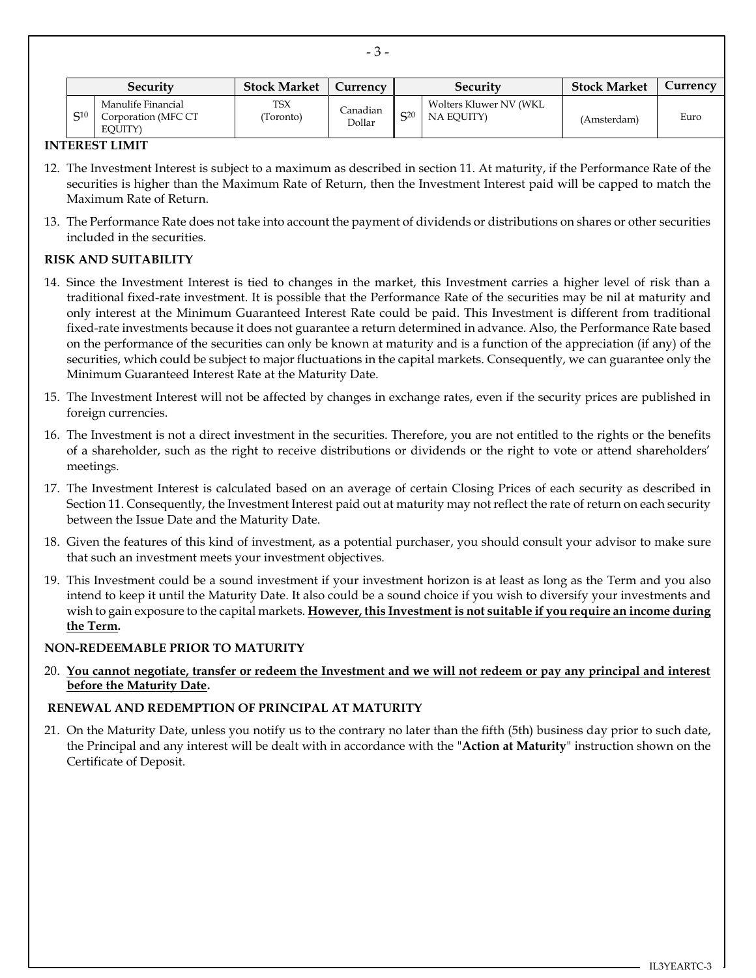| <b>Security</b> |                                                      | <b>Stock Market</b>    | Currency           | Security       |                                       | <b>Stock Market</b> | Currency |
|-----------------|------------------------------------------------------|------------------------|--------------------|----------------|---------------------------------------|---------------------|----------|
| S <sub>10</sub> | Manulife Financial<br>Corporation (MFC CT<br>EOUITY) | <b>TSX</b><br>Toronto) | Canadian<br>Dollar | $\mathsf{C}20$ | Wolters Kluwer NV (WKL)<br>NA EQUITY) | (Amsterdam)         | Euro     |

- 3 -

#### **INTEREST LIMIT**

- 12. The Investment Interest is subject to a maximum as described in section 11. At maturity, if the Performance Rate of the securities is higher than the Maximum Rate of Return, then the Investment Interest paid will be capped to match the Maximum Rate of Return.
- 13. The Performance Rate does not take into account the payment of dividends or distributions on shares or other securities included in the securities.

## **RISK AND SUITABILITY**

- 14. Since the Investment Interest is tied to changes in the market, this Investment carries a higher level of risk than a traditional fixed-rate investment. It is possible that the Performance Rate of the securities may be nil at maturity and only interest at the Minimum Guaranteed Interest Rate could be paid. This Investment is different from traditional fixed-rate investments because it does not guarantee a return determined in advance. Also, the Performance Rate based on the performance of the securities can only be known at maturity and is a function of the appreciation (if any) of the securities, which could be subject to major fluctuations in the capital markets. Consequently, we can guarantee only the Minimum Guaranteed Interest Rate at the Maturity Date.
- 15. The Investment Interest will not be affected by changes in exchange rates, even if the security prices are published in foreign currencies.
- 16. The Investment is not a direct investment in the securities. Therefore, you are not entitled to the rights or the benefits of a shareholder, such as the right to receive distributions or dividends or the right to vote or attend shareholders' meetings.
- 17. The Investment Interest is calculated based on an average of certain Closing Prices of each security as described in Section 11. Consequently, the Investment Interest paid out at maturity may not reflect the rate of return on each security between the Issue Date and the Maturity Date.
- 18. Given the features of this kind of investment, as a potential purchaser, you should consult your advisor to make sure that such an investment meets your investment objectives.
- 19. This Investment could be a sound investment if your investment horizon is at least as long as the Term and you also intend to keep it until the Maturity Date. It also could be a sound choice if you wish to diversify your investments and wish to gain exposure to the capital markets. **However, this Investment is not suitable if you require an income during the Term.**

#### **NON-REDEEMABLE PRIOR TO MATURITY**

20. **You cannot negotiate, transfer or redeem the Investment and we will not redeem or pay any principal and interest before the Maturity Date.**

#### **RENEWAL AND REDEMPTION OF PRINCIPAL AT MATURITY**

21. On the Maturity Date, unless you notify us to the contrary no later than the fifth (5th) business day prior to such date, the Principal and any interest will be dealt with in accordance with the "**Action at Maturity**" instruction shown on the Certificate of Deposit.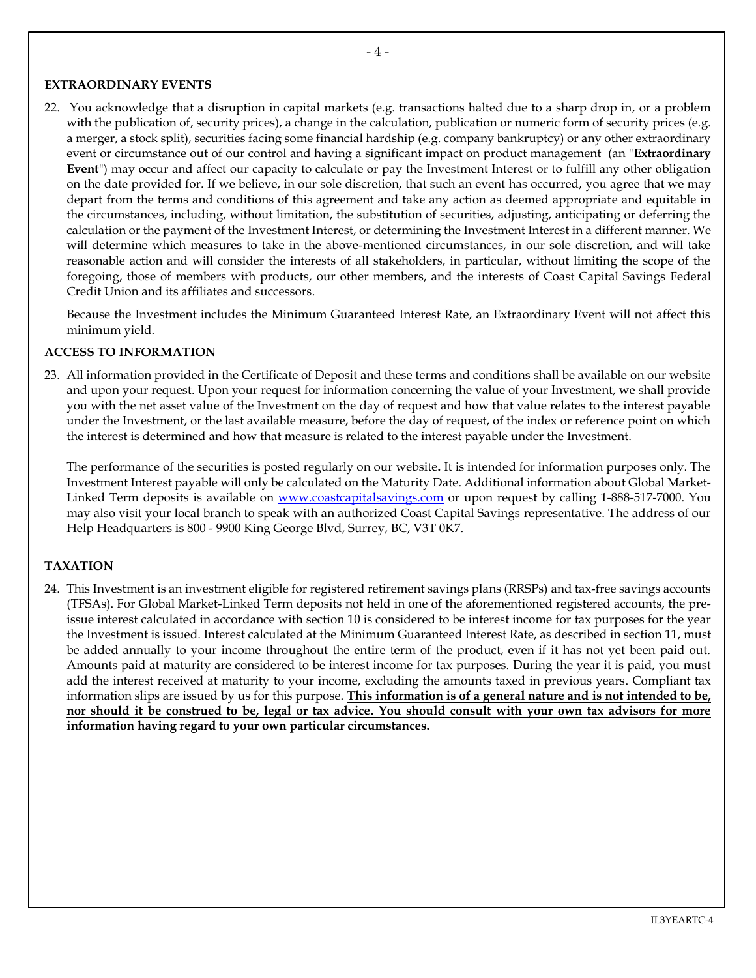## **EXTRAORDINARY EVENTS**

<span id="page-3-0"></span>22. You acknowledge that a disruption in capital markets (e.g. transactions halted due to a sharp drop in, or a problem with the publication of, security prices), a change in the calculation, publication or numeric form of security prices (e.g. a merger, a stock split), securities facing some financial hardship (e.g. company bankruptcy) or any other extraordinary event or circumstance out of our control and having a significant impact on product management (an "**Extraordinary Event**") may occur and affect our capacity to calculate or pay the Investment Interest or to fulfill any other obligation on the date provided for. If we believe, in our sole discretion, that such an event has occurred, you agree that we may depart from the terms and conditions of this agreement and take any action as deemed appropriate and equitable in the circumstances, including, without limitation, the substitution of securities, adjusting, anticipating or deferring the calculation or the payment of the Investment Interest, or determining the Investment Interest in a different manner. We will determine which measures to take in the above-mentioned circumstances, in our sole discretion, and will take reasonable action and will consider the interests of all stakeholders, in particular, without limiting the scope of the foregoing, those of members with products, our other members, and the interests of Coast Capital Savings Federal Credit Union and its affiliates and successors.

Because the Investment includes the Minimum Guaranteed Interest Rate, an Extraordinary Event will not affect this minimum yield.

## **ACCESS TO INFORMATION**

23. All information provided in the Certificate of Deposit and these terms and conditions shall be available on our website and upon your request. Upon your request for information concerning the value of your Investment, we shall provide you with the net asset value of the Investment on the day of request and how that value relates to the interest payable under the Investment, or the last available measure, before the day of request, of the index or reference point on which the interest is determined and how that measure is related to the interest payable under the Investment.

The performance of the securities is posted regularly on our website**.** It is intended for information purposes only. The Investment Interest payable will only be calculated on the Maturity Date. Additional information about Global Market-Linked Term deposits is available on [www.coastcapitalsavings.com](http://www.coastcapitalsavings.com/) or upon request by calling 1-888-517-7000. You may also visit your local branch to speak with an authorized Coast Capital Savings representative. The address of our Help Headquarters is 800 - 9900 King George Blvd, Surrey, BC, V3T 0K7.

## **TAXATION**

24. This Investment is an investment eligible for registered retirement savings plans (RRSPs) and tax-free savings accounts (TFSAs). For Global Market-Linked Term deposits not held in one of the aforementioned registered accounts, the preissue interest calculated in accordance with section [10](#page-0-0) is considered to be interest income for tax purposes for the year the Investment is issued. Interest calculated at the Minimum Guaranteed Interest Rate, as described in section [11,](#page-0-1) must be added annually to your income throughout the entire term of the product, even if it has not yet been paid out. Amounts paid at maturity are considered to be interest income for tax purposes. During the year it is paid, you must add the interest received at maturity to your income, excluding the amounts taxed in previous years. Compliant tax information slips are issued by us for this purpose. **This information is of a general nature and is not intended to be, nor should it be construed to be, legal or tax advice. You should consult with your own tax advisors for more information having regard to your own particular circumstances.**